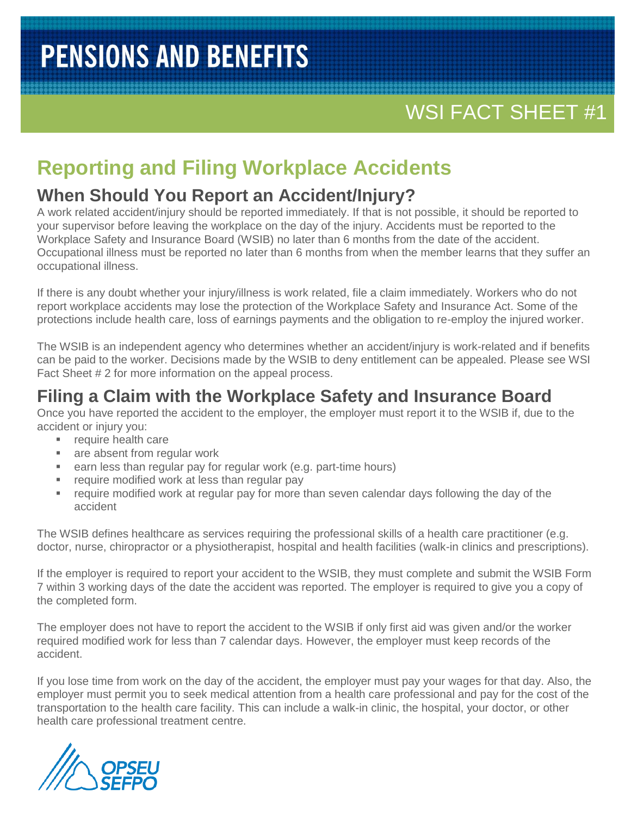## WSI FACT SHEET #1

### **Reporting and Filing Workplace Accidents**

#### **When Should You Report an Accident/Injury?**

A work related accident/injury should be reported immediately. If that is not possible, it should be reported to your supervisor before leaving the workplace on the day of the injury. Accidents must be reported to the Workplace Safety and Insurance Board (WSIB) no later than 6 months from the date of the accident. Occupational illness must be reported no later than 6 months from when the member learns that they suffer an occupational illness.

If there is any doubt whether your injury/illness is work related, file a claim immediately. Workers who do not report workplace accidents may lose the protection of the Workplace Safety and Insurance Act. Some of the protections include health care, loss of earnings payments and the obligation to re-employ the injured worker.

The WSIB is an independent agency who determines whether an accident/injury is work-related and if benefits can be paid to the worker. Decisions made by the WSIB to deny entitlement can be appealed. Please see WSI Fact Sheet # 2 for more information on the appeal process.

### **Filing a Claim with the Workplace Safety and Insurance Board**

Once you have reported the accident to the employer, the employer must report it to the WSIB if, due to the accident or injury you:

- **F** require health care
- **a** are absent from regular work
- **EXE** earn less than regular pay for regular work (e.g. part-time hours)
- require modified work at less than regular pay
- require modified work at regular pay for more than seven calendar days following the day of the accident

The WSIB defines healthcare as services requiring the professional skills of a health care practitioner (e.g. doctor, nurse, chiropractor or a physiotherapist, hospital and health facilities (walk-in clinics and prescriptions).

If the employer is required to report your accident to the WSIB, they must complete and submit the WSIB Form 7 within 3 working days of the date the accident was reported. The employer is required to give you a copy of the completed form.

The employer does not have to report the accident to the WSIB if only first aid was given and/or the worker required modified work for less than 7 calendar days. However, the employer must keep records of the accident.

If you lose time from work on the day of the accident, the employer must pay your wages for that day. Also, the employer must permit you to seek medical attention from a health care professional and pay for the cost of the transportation to the health care facility. This can include a walk-in clinic, the hospital, your doctor, or other health care professional treatment centre.